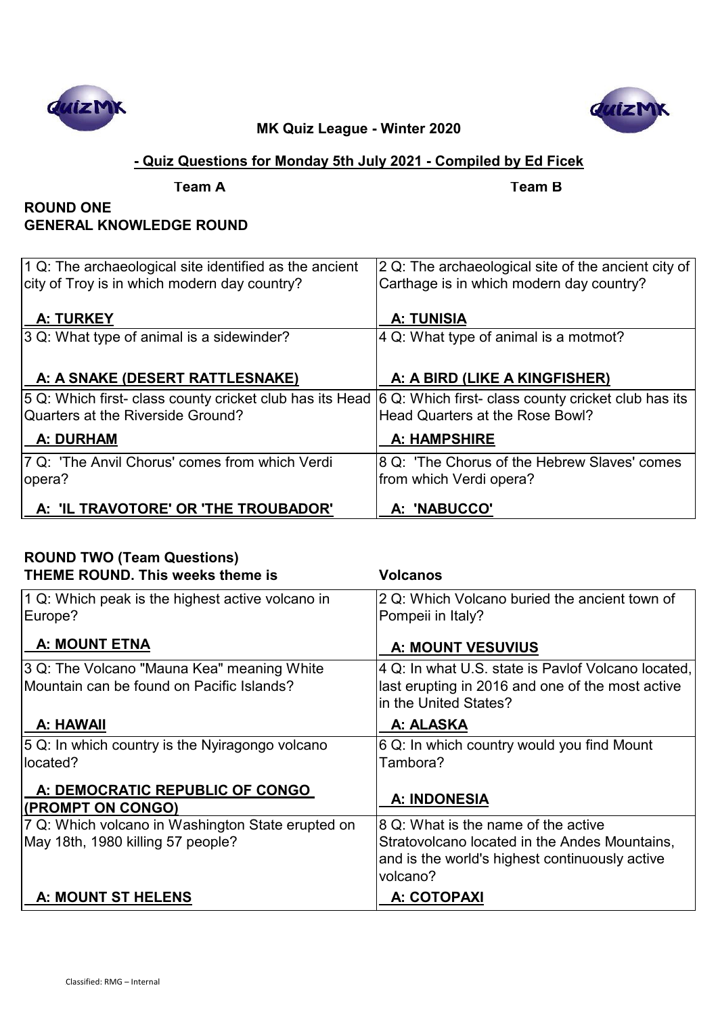



# **- Quiz Questions for Monday 5th July 2021 - Compiled by Ed Ficek**

**Team A Team B**

## **ROUND ONE GENERAL KNOWLEDGE ROUND**

| $ 1 Q$ : The archaeological site identified as the ancient<br>city of Troy is in which modern day country?      | 2 Q: The archaeological site of the ancient city of<br>Carthage is in which modern day country? |
|-----------------------------------------------------------------------------------------------------------------|-------------------------------------------------------------------------------------------------|
| <b>A: TURKEY</b>                                                                                                | <b>A: TUNISIA</b>                                                                               |
| $ 3 Q$ : What type of animal is a sidewinder?                                                                   | 4 Q: What type of animal is a motmot?                                                           |
|                                                                                                                 |                                                                                                 |
| A: A SNAKE (DESERT RATTLESNAKE)                                                                                 | A: A BIRD (LIKE A KINGFISHER)                                                                   |
| 5 Q: Which first- class county cricket club has its Head $ 6$ Q: Which first- class county cricket club has its |                                                                                                 |
| Quarters at the Riverside Ground?                                                                               | Head Quarters at the Rose Bowl?                                                                 |
| <b>A: DURHAM</b>                                                                                                | <b>A: HAMPSHIRE</b>                                                                             |
| 7 Q: 'The Anvil Chorus' comes from which Verdi                                                                  | 8 Q: 'The Chorus of the Hebrew Slaves' comes                                                    |
| opera?                                                                                                          | from which Verdi opera?                                                                         |
| A: 'IL TRAVOTORE' OR 'THE TROUBADOR'                                                                            | A: 'NABUCCO'                                                                                    |

| <b>ROUND TWO (Team Questions)</b><br><b>THEME ROUND. This weeks theme is</b>            | <b>Volcanos</b>                                                                                                                                    |
|-----------------------------------------------------------------------------------------|----------------------------------------------------------------------------------------------------------------------------------------------------|
| 1 Q: Which peak is the highest active volcano in<br>Europe?                             | 2 Q: Which Volcano buried the ancient town of<br>Pompeii in Italy?                                                                                 |
| <b>A: MOUNT ETNA</b>                                                                    | <b>A: MOUNT VESUVIUS</b>                                                                                                                           |
| 3 Q: The Volcano "Mauna Kea" meaning White<br>Mountain can be found on Pacific Islands? | 4 Q: In what U.S. state is Pavlof Volcano located,<br>last erupting in 2016 and one of the most active<br>in the United States?                    |
| A: HAWAII                                                                               | A: ALASKA                                                                                                                                          |
| $ 5 Q$ : In which country is the Nyiragongo volcano<br>located?                         | 6 Q: In which country would you find Mount<br>Tambora?                                                                                             |
| A: DEMOCRATIC REPUBLIC OF CONGO<br>(PROMPT ON CONGO)                                    | <b>A: INDONESIA</b>                                                                                                                                |
| 7 Q: Which volcano in Washington State erupted on<br>May 18th, 1980 killing 57 people?  | 8 Q: What is the name of the active<br>Stratovolcano located in the Andes Mountains,<br>and is the world's highest continuously active<br>volcano? |
| A: MOUNT ST HELENS                                                                      | A: COTOPAXI                                                                                                                                        |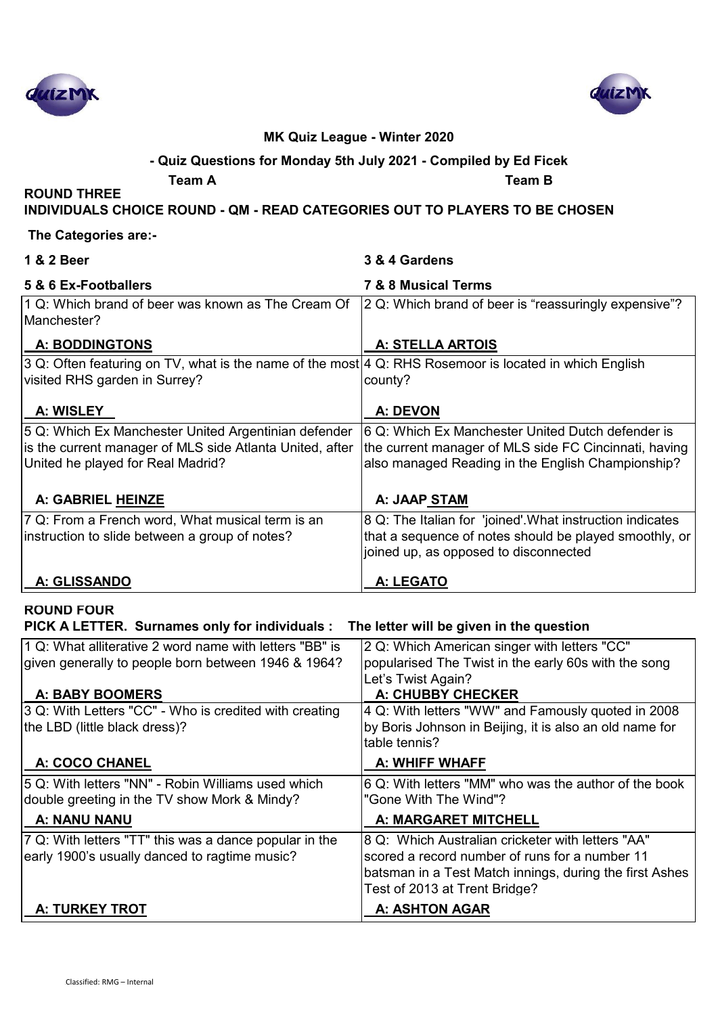



#### **- Quiz Questions for Monday 5th July 2021 - Compiled by Ed Ficek**

**Team A Team B**

**INDIVIDUALS CHOICE ROUND - QM - READ CATEGORIES OUT TO PLAYERS TO BE CHOSEN**

#### **The Categories are:-**

**ROUND THREE** 

| 1 & 2 Beer                                                                                             | 3 & 4 Gardens                                                            |
|--------------------------------------------------------------------------------------------------------|--------------------------------------------------------------------------|
| 5 & 6 Ex-Footballers                                                                                   | 7 & 8 Musical Terms                                                      |
| 1 Q: Which brand of beer was known as The Cream Of<br>Manchester?                                      | 2 Q: Which brand of beer is "reassuringly expensive"?                    |
| A: BODDINGTONS                                                                                         | A: STELLA ARTOIS                                                         |
| 3 Q: Often featuring on TV, what is the name of the most 4 Q: RHS Rosemoor is located in which English |                                                                          |
| visited RHS garden in Surrey?                                                                          | county?                                                                  |
| A: WISLEY                                                                                              | A: DEVON                                                                 |
| 5 Q: Which Ex Manchester United Argentinian defender                                                   | 6 Q: Which Ex Manchester United Dutch defender is                        |
| is the current manager of MLS side Atlanta United, after                                               | the current manager of MLS side FC Cincinnati, having                    |
| United he played for Real Madrid?                                                                      | also managed Reading in the English Championship?                        |
| A: GABRIEL HEINZE                                                                                      | A: JAAP STAM                                                             |
| 7 Q: From a French word, What musical term is an                                                       | 8 Q: The Italian for 'joined'. What instruction indicates                |
| instruction to slide between a group of notes?                                                         | that a sequence of notes should be played smoothly, or                   |
|                                                                                                        | joined up, as opposed to disconnected                                    |
| A: GLISSANDO                                                                                           | A: LEGATO                                                                |
| <b>ROUND FOUR</b>                                                                                      |                                                                          |
| PICK A LETTER. Surnames only for individuals :                                                         | The letter will be given in the question                                 |
| 1 Q: What alliterative 2 word name with letters "BB" is                                                | 2 Q: Which American singer with letters "CC"                             |
| given generally to people born between 1946 & 1964?                                                    | popularised The Twist in the early 60s with the song                     |
|                                                                                                        | Let's Twist Again?                                                       |
| <b>A: BABY BOOMERS</b>                                                                                 | A: CHUBBY CHECKER                                                        |
| 3 Q: With Letters "CC" - Who is credited with creating                                                 | 4 Q: With letters "WW" and Famously quoted in 2008                       |
| the LBD (little black dress)?                                                                          | by Boris Johnson in Beijing, it is also an old name for<br>table tennis? |
| A: COCO CHANEL                                                                                         | A: WHIFF WHAFF                                                           |
| 5 Q: With letters "NN" - Robin Williams used which                                                     | 6 Q: With letters "MM" who was the author of the book                    |
| double greeting in the TV show Mork & Mindy?                                                           | "Gone With The Wind"?                                                    |
| A: NANU NANU                                                                                           | A: MARGARET MITCHELL                                                     |
| 7 Q: With letters "TT" this was a dance popular in the                                                 | 8 Q: Which Australian cricketer with letters "AA"                        |

scored a record number of runs for a number 11 batsman in a Test Match innings, during the first Ashes

Test of 2013 at Trent Bridge?

# **A: TURKEY TROT A: ASHTON AGAR**

early 1900's usually danced to ragtime music?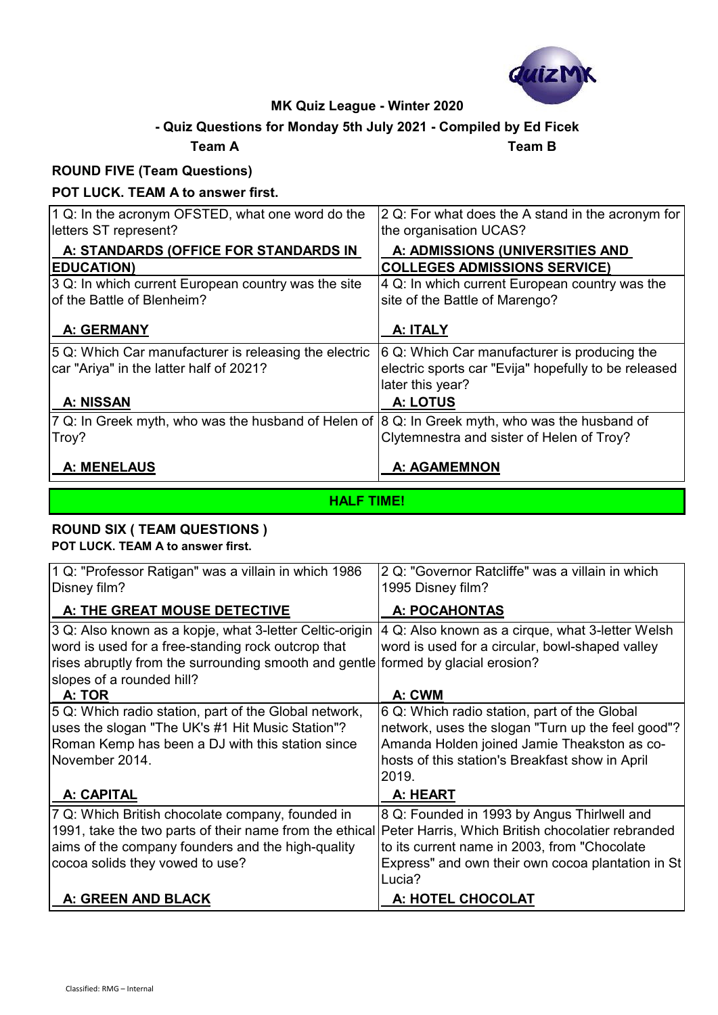

# **- Quiz Questions for Monday 5th July 2021 - Compiled by Ed Ficek**

## **Team A Team B**

## **ROUND FIVE (Team Questions)**

## **POT LUCK. TEAM A to answer first.**

| $ 1 Q$ : In the acronym OFSTED, what one word do the<br>letters ST represent?                    | 2 Q: For what does the A stand in the acronym for<br>the organisation UCAS?                                              |
|--------------------------------------------------------------------------------------------------|--------------------------------------------------------------------------------------------------------------------------|
| A: STANDARDS (OFFICE FOR STANDARDS IN                                                            | A: ADMISSIONS (UNIVERSITIES AND                                                                                          |
| <b>EDUCATION)</b>                                                                                | <b>COLLEGES ADMISSIONS SERVICE)</b>                                                                                      |
| 3 Q: In which current European country was the site                                              | 4 Q: In which current European country was the                                                                           |
| of the Battle of Blenheim?                                                                       | site of the Battle of Marengo?                                                                                           |
| <b>A: GERMANY</b>                                                                                | A: ITALY                                                                                                                 |
| 5 Q: Which Car manufacturer is releasing the electric<br>car "Ariya" in the latter half of 2021? | 6 Q: Which Car manufacturer is producing the<br>electric sports car "Evija" hopefully to be released<br>later this year? |
| <b>A: NISSAN</b>                                                                                 | <b>A: LOTUS</b>                                                                                                          |
| 7 Q: In Greek myth, who was the husband of Helen of 8 Q: In Greek myth, who was the husband of   |                                                                                                                          |
| Troy?                                                                                            | Clytemnestra and sister of Helen of Troy?                                                                                |
| A: MENELAUS                                                                                      | <b>A: AGAMEMNON</b>                                                                                                      |

## **HALF TIME!**

## **ROUND SIX ( TEAM QUESTIONS )**

**POT LUCK. TEAM A to answer first.**

| 1 Q: "Professor Ratigan" was a villain in which 1986<br>Disney film?                                                                                                                                                           | 2 Q: "Governor Ratcliffe" was a villain in which<br>1995 Disney film?                               |
|--------------------------------------------------------------------------------------------------------------------------------------------------------------------------------------------------------------------------------|-----------------------------------------------------------------------------------------------------|
| A: THE GREAT MOUSE DETECTIVE                                                                                                                                                                                                   | <b>A: POCAHONTAS</b>                                                                                |
| 3 Q: Also known as a kopje, what 3-letter Celtic-origin<br>word is used for a free-standing rock outcrop that<br>rises abruptly from the surrounding smooth and gentle formed by glacial erosion?<br>slopes of a rounded hill? | 4 Q: Also known as a cirque, what 3-letter Welsh<br>word is used for a circular, bowl-shaped valley |
| A: TOR                                                                                                                                                                                                                         | A: CWM                                                                                              |
| 5 Q: Which radio station, part of the Global network,                                                                                                                                                                          | 6 Q: Which radio station, part of the Global                                                        |
| uses the slogan "The UK's #1 Hit Music Station"?                                                                                                                                                                               | network, uses the slogan "Turn up the feel good"?                                                   |
| Roman Kemp has been a DJ with this station since                                                                                                                                                                               | Amanda Holden joined Jamie Theakston as co-                                                         |
| November 2014.                                                                                                                                                                                                                 | hosts of this station's Breakfast show in April                                                     |
|                                                                                                                                                                                                                                | 2019.                                                                                               |
| A: CAPITAL                                                                                                                                                                                                                     | A: HEART                                                                                            |
| 7 Q: Which British chocolate company, founded in                                                                                                                                                                               | 8 Q: Founded in 1993 by Angus Thirlwell and                                                         |
| 1991, take the two parts of their name from the ethical                                                                                                                                                                        | Peter Harris, Which British chocolatier rebranded                                                   |
| aims of the company founders and the high-quality                                                                                                                                                                              | to its current name in 2003, from "Chocolate"                                                       |
| cocoa solids they vowed to use?                                                                                                                                                                                                | Express" and own their own cocoa plantation in St                                                   |
|                                                                                                                                                                                                                                | Lucia?                                                                                              |
| A: GREEN AND BLACK                                                                                                                                                                                                             | A: HOTEL CHOCOLAT                                                                                   |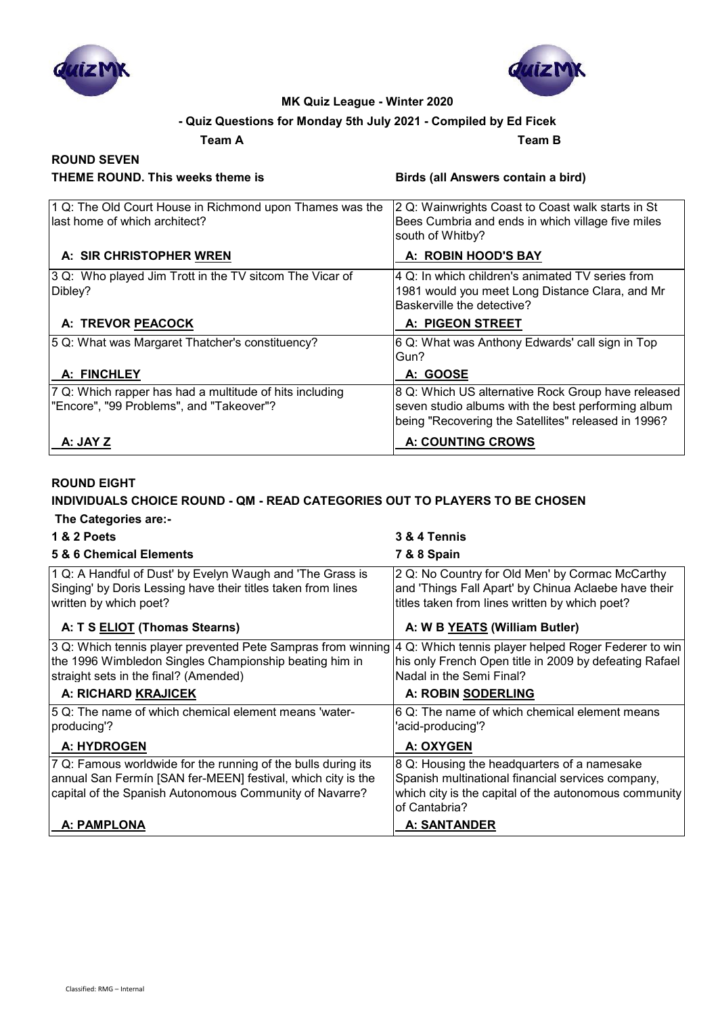



# **- Quiz Questions for Monday 5th July 2021 - Compiled by Ed Ficek**

**Team A Team B**

# **ROUND SEVEN**

**THEME ROUND. This weeks theme is Birds (all Answers contain a bird)**

| 1 Q: The Old Court House in Richmond upon Thames was the<br>llast home of which architect?          | 2 Q: Wainwrights Coast to Coast walk starts in St<br>Bees Cumbria and ends in which village five miles<br>south of Whitby?                                      |
|-----------------------------------------------------------------------------------------------------|-----------------------------------------------------------------------------------------------------------------------------------------------------------------|
| A: SIR CHRISTOPHER WREN                                                                             | A: ROBIN HOOD'S BAY                                                                                                                                             |
| 3 Q: Who played Jim Trott in the TV sitcom The Vicar of<br>Dibley?                                  | 14 Q: In which children's animated TV series from<br>1981 would you meet Long Distance Clara, and Mr<br>Baskerville the detective?                              |
| A: TREVOR PEACOCK                                                                                   | A: PIGEON STREET                                                                                                                                                |
| 5 Q: What was Margaret Thatcher's constituency?                                                     | 6 Q: What was Anthony Edwards' call sign in Top<br>Gun?                                                                                                         |
| A: FINCHLEY                                                                                         | A: GOOSE                                                                                                                                                        |
| 7 Q: Which rapper has had a multitude of hits including<br>"Encore", "99 Problems", and "Takeover"? | 8 Q: Which US alternative Rock Group have released<br>seven studio albums with the best performing album<br>being "Recovering the Satellites" released in 1996? |
| A: JAY Z                                                                                            | <b>A: COUNTING CROWS</b>                                                                                                                                        |

### **ROUND EIGHT**

# **INDIVIDUALS CHOICE ROUND - QM - READ CATEGORIES OUT TO PLAYERS TO BE CHOSEN**

| The Categories are:- |  |
|----------------------|--|
|----------------------|--|

| <b>1 &amp; 2 Poets</b>                                                                                                                                                                   | 3 & 4 Tennis                                                                                                                                                               |
|------------------------------------------------------------------------------------------------------------------------------------------------------------------------------------------|----------------------------------------------------------------------------------------------------------------------------------------------------------------------------|
| 5 & 6 Chemical Elements                                                                                                                                                                  | 7 & 8 Spain                                                                                                                                                                |
| 1 Q: A Handful of Dust' by Evelyn Waugh and 'The Grass is<br>Singing' by Doris Lessing have their titles taken from lines<br>written by which poet?                                      | 2 Q: No Country for Old Men' by Cormac McCarthy<br>and 'Things Fall Apart' by Chinua Aclaebe have their<br>titles taken from lines written by which poet?                  |
| A: T S ELIOT (Thomas Stearns)                                                                                                                                                            | A: W B YEATS (William Butler)                                                                                                                                              |
| 3 Q: Which tennis player prevented Pete Sampras from winning<br>the 1996 Wimbledon Singles Championship beating him in<br>straight sets in the final? (Amended)                          | 4 Q: Which tennis player helped Roger Federer to win<br>his only French Open title in 2009 by defeating Rafael<br>Nadal in the Semi Final?                                 |
| A: RICHARD KRAJICEK                                                                                                                                                                      | A: ROBIN SODERLING                                                                                                                                                         |
| 5 Q: The name of which chemical element means 'water-<br>producing'?                                                                                                                     | 6 Q: The name of which chemical element means<br>'acid-producing'?                                                                                                         |
| A: HYDROGEN                                                                                                                                                                              | A: OXYGEN                                                                                                                                                                  |
| 7 Q: Famous worldwide for the running of the bulls during its<br>annual San Fermín [SAN fer-MEEN] festival, which city is the<br>capital of the Spanish Autonomous Community of Navarre? | 8 Q: Housing the headquarters of a namesake<br>Spanish multinational financial services company,<br>which city is the capital of the autonomous community<br>of Cantabria? |
| A: PAMPLONA                                                                                                                                                                              | <b>A: SANTANDER</b>                                                                                                                                                        |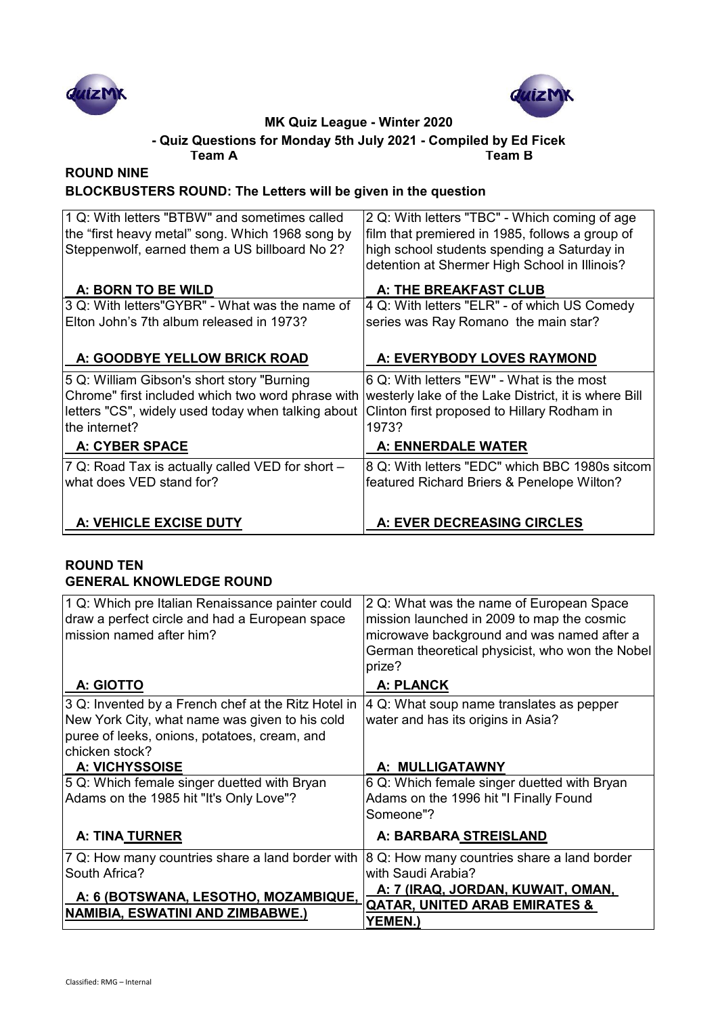



#### **Team A Team B - Quiz Questions for Monday 5th July 2021 - Compiled by Ed Ficek**

#### **ROUND NINE BLOCKBUSTERS ROUND: The Letters will be given in the question**

| 1 Q: With letters "BTBW" and sometimes called<br>the "first heavy metal" song. Which 1968 song by<br>Steppenwolf, earned them a US billboard No 2? | 2 Q: With letters "TBC" - Which coming of age<br>film that premiered in 1985, follows a group of<br>high school students spending a Saturday in<br>detention at Shermer High School in Illinois? |
|----------------------------------------------------------------------------------------------------------------------------------------------------|--------------------------------------------------------------------------------------------------------------------------------------------------------------------------------------------------|
| A: BORN TO BE WILD                                                                                                                                 | A: THE BREAKFAST CLUB                                                                                                                                                                            |
| 3 Q: With letters"GYBR" - What was the name of                                                                                                     | 4 Q: With letters "ELR" - of which US Comedy                                                                                                                                                     |
| Elton John's 7th album released in 1973?                                                                                                           | series was Ray Romano the main star?                                                                                                                                                             |
| A: GOODBYE YELLOW BRICK ROAD                                                                                                                       | A: EVERYBODY LOVES RAYMOND                                                                                                                                                                       |
| 5 Q: William Gibson's short story "Burning                                                                                                         | 6 Q: With letters "EW" - What is the most                                                                                                                                                        |
| Chrome" first included which two word phrase with                                                                                                  | westerly lake of the Lake District, it is where Bill                                                                                                                                             |
| letters "CS", widely used today when talking about                                                                                                 | Clinton first proposed to Hillary Rodham in                                                                                                                                                      |
| lthe internet?                                                                                                                                     | 1973?                                                                                                                                                                                            |
| <b>A: CYBER SPACE</b>                                                                                                                              | <b>A: ENNERDALE WATER</b>                                                                                                                                                                        |
| 7 Q: Road Tax is actually called VED for short -                                                                                                   | 8 Q: With letters "EDC" which BBC 1980s sitcom                                                                                                                                                   |
| what does VED stand for?                                                                                                                           | featured Richard Briers & Penelope Wilton?                                                                                                                                                       |
|                                                                                                                                                    |                                                                                                                                                                                                  |
| A: VEHICLE EXCISE DUTY                                                                                                                             | A: EVER DECREASING CIRCLES                                                                                                                                                                       |

### **ROUND TEN GENERAL KNOWLEDGE ROUND**

| 1 Q: Which pre Italian Renaissance painter could<br>draw a perfect circle and had a European space<br>mission named after him?                                          | 2 Q: What was the name of European Space<br>mission launched in 2009 to map the cosmic<br>microwave background and was named after a<br>German theoretical physicist, who won the Nobel<br>prize? |
|-------------------------------------------------------------------------------------------------------------------------------------------------------------------------|---------------------------------------------------------------------------------------------------------------------------------------------------------------------------------------------------|
| A: GIOTTO                                                                                                                                                               | <b>A: PLANCK</b>                                                                                                                                                                                  |
| 3 Q: Invented by a French chef at the Ritz Hotel in<br>New York City, what name was given to his cold<br>puree of leeks, onions, potatoes, cream, and<br>chicken stock? | 4 Q: What soup name translates as pepper<br>water and has its origins in Asia?                                                                                                                    |
| <b>A: VICHYSSOISE</b>                                                                                                                                                   | A: MULLIGATAWNY                                                                                                                                                                                   |
| 5 Q: Which female singer duetted with Bryan<br>Adams on the 1985 hit "It's Only Love"?                                                                                  | 6 Q: Which female singer duetted with Bryan<br>Adams on the 1996 hit "I Finally Found<br>Someone"?                                                                                                |
| <b>A: TINA TURNER</b>                                                                                                                                                   | A: BARBARA STREISLAND                                                                                                                                                                             |
| 7 Q: How many countries share a land border with<br>South Africa?<br>A: 6 (BOTSWANA, LESOTHO, MOZAMBIQUE,<br><b>NAMIBIA, ESWATINI AND ZIMBABWE.)</b>                    | 8 Q: How many countries share a land border<br>with Saudi Arabia?<br>A: 7 (IRAQ, JORDAN, KUWAIT, OMAN,<br><b>QATAR, UNITED ARAB EMIRATES &amp;</b>                                                |
|                                                                                                                                                                         | <b>YEMEN.)</b>                                                                                                                                                                                    |